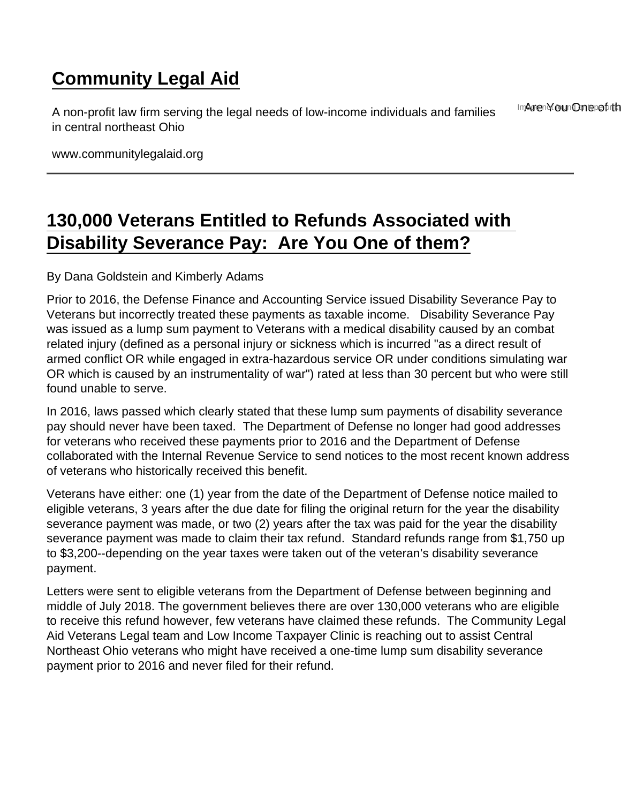## [Community Legal Aid](https://www.communitylegalaid.org/)

A non-profit law firm serving the legal needs of low-income individuals and families in central northeast Ohio Imagen of oun Ome pot th

www.communitylegalaid.org

## [130,000 Veterans Entitled to Refunds Associated with](https://www.communitylegalaid.org/node/974/130000-veterans-entitled-refunds-associated-disability-severance-pay -are-you-one-them)  [Disability Severance Pay: Are You One of them?](https://www.communitylegalaid.org/node/974/130000-veterans-entitled-refunds-associated-disability-severance-pay -are-you-one-them)

## By Dana Goldstein and Kimberly Adams

Prior to 2016, the Defense Finance and Accounting Service issued Disability Severance Pay to Veterans but incorrectly treated these payments as taxable income. Disability Severance Pay was issued as a lump sum payment to Veterans with a medical disability caused by an combat related injury (defined as a personal injury or sickness which is incurred "as a direct result of armed conflict OR while engaged in extra-hazardous service OR under conditions simulating war OR which is caused by an instrumentality of war") rated at less than 30 percent but who were still found unable to serve.

In 2016, laws passed which clearly stated that these lump sum payments of disability severance pay should never have been taxed. The Department of Defense no longer had good addresses for veterans who received these payments prior to 2016 and the Department of Defense collaborated with the Internal Revenue Service to send notices to the most recent known address of veterans who historically received this benefit.

Veterans have either: one (1) year from the date of the Department of Defense notice mailed to eligible veterans, 3 years after the due date for filing the original return for the year the disability severance payment was made, or two (2) years after the tax was paid for the year the disability severance payment was made to claim their tax refund. Standard refunds range from \$1,750 up to \$3,200--depending on the year taxes were taken out of the veteran's disability severance payment.

Letters were sent to eligible veterans from the Department of Defense between beginning and middle of July 2018. The government believes there are over 130,000 veterans who are eligible to receive this refund however, few veterans have claimed these refunds. The Community Legal Aid Veterans Legal team and Low Income Taxpayer Clinic is reaching out to assist Central Northeast Ohio veterans who might have received a one-time lump sum disability severance payment prior to 2016 and never filed for their refund.